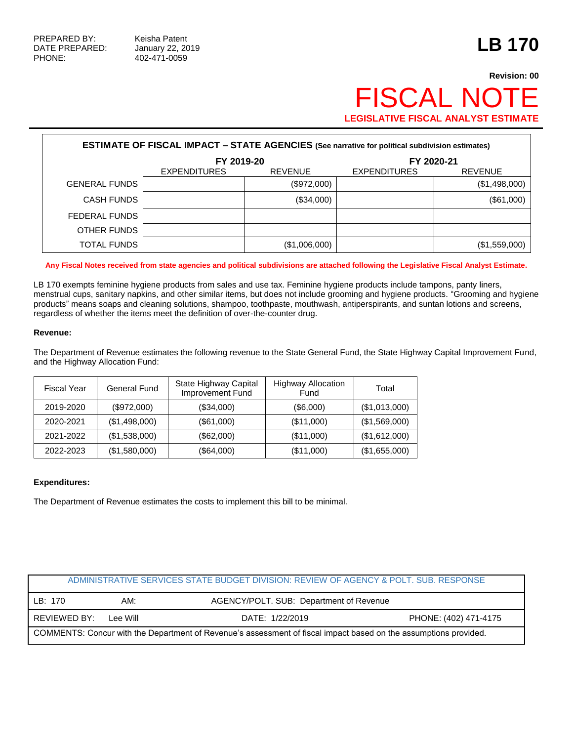# **Revision: 00 FISCAL NOT LEGISLATIVE FISCAL ANALYST ESTIMATE**

| <b>ESTIMATE OF FISCAL IMPACT - STATE AGENCIES (See narrative for political subdivision estimates)</b> |                     |                |                     |                |  |  |
|-------------------------------------------------------------------------------------------------------|---------------------|----------------|---------------------|----------------|--|--|
|                                                                                                       | FY 2019-20          |                | FY 2020-21          |                |  |  |
|                                                                                                       | <b>EXPENDITURES</b> | <b>REVENUE</b> | <b>EXPENDITURES</b> | <b>REVENUE</b> |  |  |
| <b>GENERAL FUNDS</b>                                                                                  |                     | (\$972,000)    |                     | (\$1,498,000)  |  |  |
| <b>CASH FUNDS</b>                                                                                     |                     | (\$34,000)     |                     | (\$61,000)     |  |  |
| FEDERAL FUNDS                                                                                         |                     |                |                     |                |  |  |
| OTHER FUNDS                                                                                           |                     |                |                     |                |  |  |
| <b>TOTAL FUNDS</b>                                                                                    |                     | (\$1,006,000)  |                     | (\$1,559,000)  |  |  |

**Any Fiscal Notes received from state agencies and political subdivisions are attached following the Legislative Fiscal Analyst Estimate.**

LB 170 exempts feminine hygiene products from sales and use tax. Feminine hygiene products include tampons, panty liners, menstrual cups, sanitary napkins, and other similar items, but does not include grooming and hygiene products. "Grooming and hygiene products" means soaps and cleaning solutions, shampoo, toothpaste, mouthwash, antiperspirants, and suntan lotions and screens, regardless of whether the items meet the definition of over-the-counter drug.

### **Revenue:**

The Department of Revenue estimates the following revenue to the State General Fund, the State Highway Capital Improvement Fund, and the Highway Allocation Fund:

| <b>Fiscal Year</b> | General Fund  | State Highway Capital<br>Improvement Fund | <b>Highway Allocation</b><br>Fund | Total         |
|--------------------|---------------|-------------------------------------------|-----------------------------------|---------------|
| 2019-2020          | (\$972,000)   | (\$34,000)                                | (\$6,000)                         | (\$1,013,000) |
| 2020-2021          | (\$1,498,000) | (\$61,000)                                | (\$11,000)                        | (\$1,569,000) |
| 2021-2022          | (\$1,538,000) | (\$62,000)                                | (\$11,000)                        | (\$1,612,000) |
| 2022-2023          | (\$1,580,000) | (\$64,000)                                | (\$11,000)                        | (\$1,655,000) |

#### **Expenditures:**

The Department of Revenue estimates the costs to implement this bill to be minimal.

| ADMINISTRATIVE SERVICES STATE BUDGET DIVISION: REVIEW OF AGENCY & POLT. SUB. RESPONSE                            |          |                                         |                       |  |  |
|------------------------------------------------------------------------------------------------------------------|----------|-----------------------------------------|-----------------------|--|--|
| LB: 170                                                                                                          | AM:      | AGENCY/POLT. SUB: Department of Revenue |                       |  |  |
| REVIEWED BY:                                                                                                     | Lee Will | DATE: 1/22/2019                         | PHONE: (402) 471-4175 |  |  |
| COMMENTS: Concur with the Department of Revenue's assessment of fiscal impact based on the assumptions provided. |          |                                         |                       |  |  |